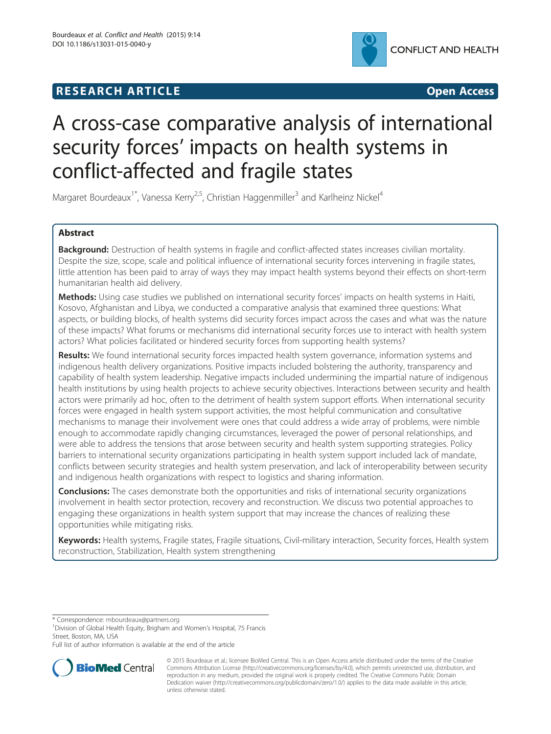# **RESEARCH ARTICLE Example 2014 12:30 The SEAR CHI ACCESS**



# A cross-case comparative analysis of international security forces' impacts on health systems in conflict-affected and fragile states

Margaret Bourdeaux<sup>1\*</sup>, Vanessa Kerry<sup>2,5</sup>, Christian Haggenmiller<sup>3</sup> and Karlheinz Nickel<sup>4</sup>

# Abstract

Background: Destruction of health systems in fragile and conflict-affected states increases civilian mortality. Despite the size, scope, scale and political influence of international security forces intervening in fragile states, little attention has been paid to array of ways they may impact health systems beyond their effects on short-term humanitarian health aid delivery.

Methods: Using case studies we published on international security forces' impacts on health systems in Haiti, Kosovo, Afghanistan and Libya, we conducted a comparative analysis that examined three questions: What aspects, or building blocks, of health systems did security forces impact across the cases and what was the nature of these impacts? What forums or mechanisms did international security forces use to interact with health system actors? What policies facilitated or hindered security forces from supporting health systems?

Results: We found international security forces impacted health system governance, information systems and indigenous health delivery organizations. Positive impacts included bolstering the authority, transparency and capability of health system leadership. Negative impacts included undermining the impartial nature of indigenous health institutions by using health projects to achieve security objectives. Interactions between security and health actors were primarily ad hoc, often to the detriment of health system support efforts. When international security forces were engaged in health system support activities, the most helpful communication and consultative mechanisms to manage their involvement were ones that could address a wide array of problems, were nimble enough to accommodate rapidly changing circumstances, leveraged the power of personal relationships, and were able to address the tensions that arose between security and health system supporting strategies. Policy barriers to international security organizations participating in health system support included lack of mandate, conflicts between security strategies and health system preservation, and lack of interoperability between security and indigenous health organizations with respect to logistics and sharing information.

**Conclusions:** The cases demonstrate both the opportunities and risks of international security organizations involvement in health sector protection, recovery and reconstruction. We discuss two potential approaches to engaging these organizations in health system support that may increase the chances of realizing these opportunities while mitigating risks.

Keywords: Health systems, Fragile states, Fragile situations, Civil-military interaction, Security forces, Health system reconstruction, Stabilization, Health system strengthening

\* Correspondence: [mbourdeaux@partners.org](mailto:mbourdeaux@partners.org) <sup>1</sup>

<sup>1</sup> Division of Global Health Equity, Brigham and Women's Hospital, 75 Francis Street, Boston, MA, USA

Full list of author information is available at the end of the article



<sup>© 2015</sup> Bourdeaux et al.; licensee BioMed Central. This is an Open Access article distributed under the terms of the Creative Commons Attribution License [\(http://creativecommons.org/licenses/by/4.0\)](http://creativecommons.org/licenses/by/4.0), which permits unrestricted use, distribution, and reproduction in any medium, provided the original work is properly credited. The Creative Commons Public Domain Dedication waiver [\(http://creativecommons.org/publicdomain/zero/1.0/](http://creativecommons.org/publicdomain/zero/1.0/)) applies to the data made available in this article, unless otherwise stated.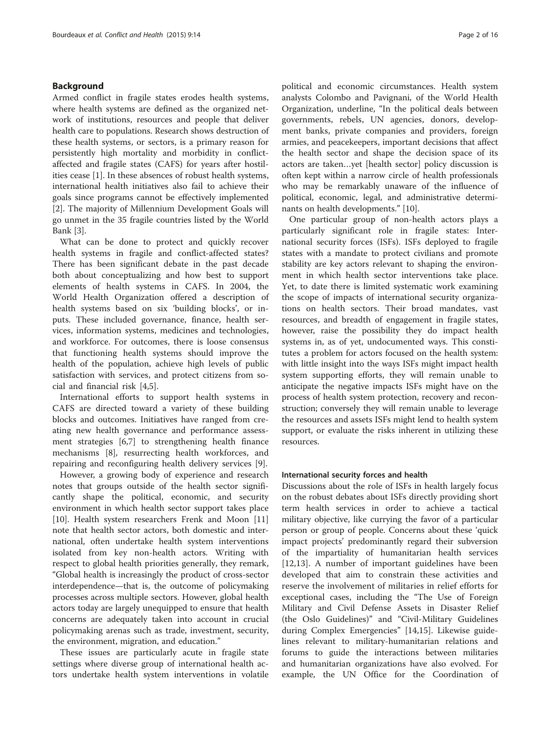#### Background

Armed conflict in fragile states erodes health systems, where health systems are defined as the organized network of institutions, resources and people that deliver health care to populations. Research shows destruction of these health systems, or sectors, is a primary reason for persistently high mortality and morbidity in conflictaffected and fragile states (CAFS) for years after hostilities cease [\[1](#page-14-0)]. In these absences of robust health systems, international health initiatives also fail to achieve their goals since programs cannot be effectively implemented [[2\]](#page-14-0). The majority of Millennium Development Goals will go unmet in the 35 fragile countries listed by the World Bank [\[3](#page-14-0)].

What can be done to protect and quickly recover health systems in fragile and conflict-affected states? There has been significant debate in the past decade both about conceptualizing and how best to support elements of health systems in CAFS. In 2004, the World Health Organization offered a description of health systems based on six 'building blocks', or inputs. These included governance, finance, health services, information systems, medicines and technologies, and workforce. For outcomes, there is loose consensus that functioning health systems should improve the health of the population, achieve high levels of public satisfaction with services, and protect citizens from social and financial risk [\[4,5](#page-14-0)].

International efforts to support health systems in CAFS are directed toward a variety of these building blocks and outcomes. Initiatives have ranged from creating new health governance and performance assessment strategies [[6,7\]](#page-14-0) to strengthening health finance mechanisms [\[8\]](#page-14-0), resurrecting health workforces, and repairing and reconfiguring health delivery services [\[9](#page-14-0)].

However, a growing body of experience and research notes that groups outside of the health sector significantly shape the political, economic, and security environment in which health sector support takes place [[10\]](#page-14-0). Health system researchers Frenk and Moon [[11](#page-14-0)] note that health sector actors, both domestic and international, often undertake health system interventions isolated from key non-health actors. Writing with respect to global health priorities generally, they remark, "Global health is increasingly the product of cross-sector interdependence—that is, the outcome of policymaking processes across multiple sectors. However, global health actors today are largely unequipped to ensure that health concerns are adequately taken into account in crucial policymaking arenas such as trade, investment, security, the environment, migration, and education."

These issues are particularly acute in fragile state settings where diverse group of international health actors undertake health system interventions in volatile political and economic circumstances. Health system analysts Colombo and Pavignani, of the World Health Organization, underline, "In the political deals between governments, rebels, UN agencies, donors, development banks, private companies and providers, foreign armies, and peacekeepers, important decisions that affect the health sector and shape the decision space of its actors are taken…yet [health sector] policy discussion is often kept within a narrow circle of health professionals who may be remarkably unaware of the influence of political, economic, legal, and administrative determinants on health developments." [\[10](#page-14-0)].

One particular group of non-health actors plays a particularly significant role in fragile states: International security forces (ISFs). ISFs deployed to fragile states with a mandate to protect civilians and promote stability are key actors relevant to shaping the environment in which health sector interventions take place. Yet, to date there is limited systematic work examining the scope of impacts of international security organizations on health sectors. Their broad mandates, vast resources, and breadth of engagement in fragile states, however, raise the possibility they do impact health systems in, as of yet, undocumented ways. This constitutes a problem for actors focused on the health system: with little insight into the ways ISFs might impact health system supporting efforts, they will remain unable to anticipate the negative impacts ISFs might have on the process of health system protection, recovery and reconstruction; conversely they will remain unable to leverage the resources and assets ISFs might lend to health system support, or evaluate the risks inherent in utilizing these resources.

#### International security forces and health

Discussions about the role of ISFs in health largely focus on the robust debates about ISFs directly providing short term health services in order to achieve a tactical military objective, like currying the favor of a particular person or group of people. Concerns about these 'quick impact projects' predominantly regard their subversion of the impartiality of humanitarian health services [[12,13](#page-14-0)]. A number of important guidelines have been developed that aim to constrain these activities and reserve the involvement of militaries in relief efforts for exceptional cases, including the "The Use of Foreign Military and Civil Defense Assets in Disaster Relief (the Oslo Guidelines)" and "Civil-Military Guidelines during Complex Emergencies" [\[14,15\]](#page-14-0). Likewise guidelines relevant to military-humanitarian relations and forums to guide the interactions between militaries and humanitarian organizations have also evolved. For example, the UN Office for the Coordination of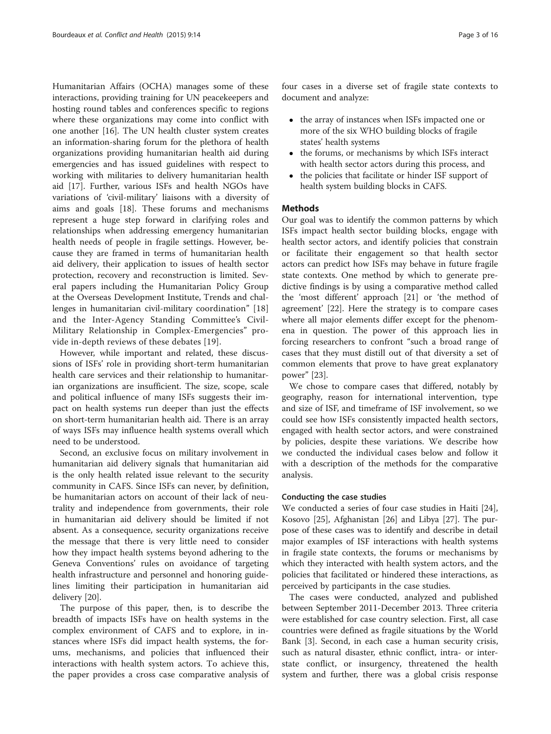Humanitarian Affairs (OCHA) manages some of these interactions, providing training for UN peacekeepers and hosting round tables and conferences specific to regions where these organizations may come into conflict with one another [[16\]](#page-14-0). The UN health cluster system creates an information-sharing forum for the plethora of health organizations providing humanitarian health aid during emergencies and has issued guidelines with respect to working with militaries to delivery humanitarian health aid [[17\]](#page-14-0). Further, various ISFs and health NGOs have variations of 'civil-military' liaisons with a diversity of aims and goals [\[18](#page-14-0)]. These forums and mechanisms represent a huge step forward in clarifying roles and relationships when addressing emergency humanitarian health needs of people in fragile settings. However, because they are framed in terms of humanitarian health aid delivery, their application to issues of health sector protection, recovery and reconstruction is limited. Several papers including the Humanitarian Policy Group at the Overseas Development Institute, Trends and challenges in humanitarian civil-military coordination" [[18](#page-14-0)] and the Inter-Agency Standing Committee's Civil-Military Relationship in Complex-Emergencies" provide in-depth reviews of these debates [[19\]](#page-14-0).

However, while important and related, these discussions of ISFs' role in providing short-term humanitarian health care services and their relationship to humanitarian organizations are insufficient. The size, scope, scale and political influence of many ISFs suggests their impact on health systems run deeper than just the effects on short-term humanitarian health aid. There is an array of ways ISFs may influence health systems overall which need to be understood.

Second, an exclusive focus on military involvement in humanitarian aid delivery signals that humanitarian aid is the only health related issue relevant to the security community in CAFS. Since ISFs can never, by definition, be humanitarian actors on account of their lack of neutrality and independence from governments, their role in humanitarian aid delivery should be limited if not absent. As a consequence, security organizations receive the message that there is very little need to consider how they impact health systems beyond adhering to the Geneva Conventions' rules on avoidance of targeting health infrastructure and personnel and honoring guidelines limiting their participation in humanitarian aid delivery [[20](#page-14-0)].

The purpose of this paper, then, is to describe the breadth of impacts ISFs have on health systems in the complex environment of CAFS and to explore, in instances where ISFs did impact health systems, the forums, mechanisms, and policies that influenced their interactions with health system actors. To achieve this, the paper provides a cross case comparative analysis of four cases in a diverse set of fragile state contexts to document and analyze:

- the array of instances when ISFs impacted one or more of the six WHO building blocks of fragile states' health systems
- the forums, or mechanisms by which ISFs interact with health sector actors during this process, and
- the policies that facilitate or hinder ISF support of health system building blocks in CAFS.

#### **Methods**

Our goal was to identify the common patterns by which ISFs impact health sector building blocks, engage with health sector actors, and identify policies that constrain or facilitate their engagement so that health sector actors can predict how ISFs may behave in future fragile state contexts. One method by which to generate predictive findings is by using a comparative method called the 'most different' approach [[21](#page-14-0)] or 'the method of agreement' [[22\]](#page-14-0). Here the strategy is to compare cases where all major elements differ except for the phenomena in question. The power of this approach lies in forcing researchers to confront "such a broad range of cases that they must distill out of that diversity a set of common elements that prove to have great explanatory power" [[23\]](#page-14-0).

We chose to compare cases that differed, notably by geography, reason for international intervention, type and size of ISF, and timeframe of ISF involvement, so we could see how ISFs consistently impacted health sectors, engaged with health sector actors, and were constrained by policies, despite these variations. We describe how we conducted the individual cases below and follow it with a description of the methods for the comparative analysis.

#### Conducting the case studies

We conducted a series of four case studies in Haiti [\[24](#page-14-0)], Kosovo [[25\]](#page-14-0), Afghanistan [\[26\]](#page-14-0) and Libya [[27\]](#page-14-0). The purpose of these cases was to identify and describe in detail major examples of ISF interactions with health systems in fragile state contexts, the forums or mechanisms by which they interacted with health system actors, and the policies that facilitated or hindered these interactions, as perceived by participants in the case studies.

The cases were conducted, analyzed and published between September 2011-December 2013. Three criteria were established for case country selection. First, all case countries were defined as fragile situations by the World Bank [[3](#page-14-0)]. Second, in each case a human security crisis, such as natural disaster, ethnic conflict, intra- or interstate conflict, or insurgency, threatened the health system and further, there was a global crisis response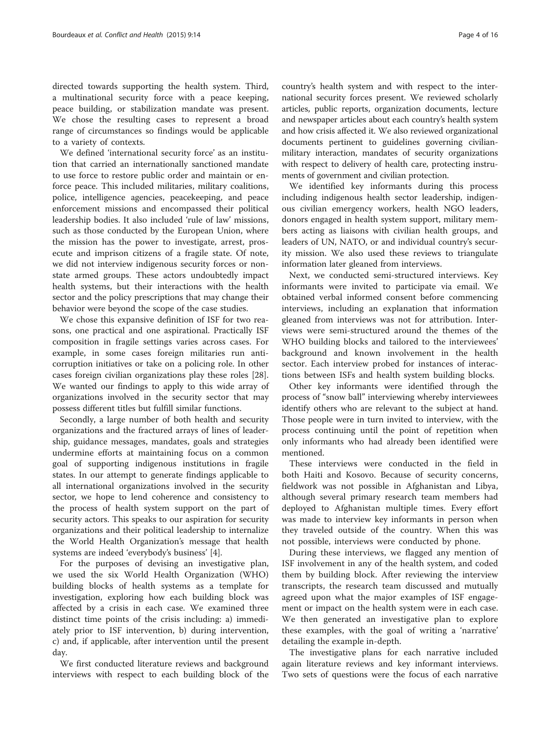directed towards supporting the health system. Third, a multinational security force with a peace keeping, peace building, or stabilization mandate was present. We chose the resulting cases to represent a broad range of circumstances so findings would be applicable to a variety of contexts.

We defined 'international security force' as an institution that carried an internationally sanctioned mandate to use force to restore public order and maintain or enforce peace. This included militaries, military coalitions, police, intelligence agencies, peacekeeping, and peace enforcement missions and encompassed their political leadership bodies. It also included 'rule of law' missions, such as those conducted by the European Union, where the mission has the power to investigate, arrest, prosecute and imprison citizens of a fragile state. Of note, we did not interview indigenous security forces or nonstate armed groups. These actors undoubtedly impact health systems, but their interactions with the health sector and the policy prescriptions that may change their behavior were beyond the scope of the case studies.

We chose this expansive definition of ISF for two reasons, one practical and one aspirational. Practically ISF composition in fragile settings varies across cases. For example, in some cases foreign militaries run anticorruption initiatives or take on a policing role. In other cases foreign civilian organizations play these roles [\[28](#page-14-0)]. We wanted our findings to apply to this wide array of organizations involved in the security sector that may possess different titles but fulfill similar functions.

Secondly, a large number of both health and security organizations and the fractured arrays of lines of leadership, guidance messages, mandates, goals and strategies undermine efforts at maintaining focus on a common goal of supporting indigenous institutions in fragile states. In our attempt to generate findings applicable to all international organizations involved in the security sector, we hope to lend coherence and consistency to the process of health system support on the part of security actors. This speaks to our aspiration for security organizations and their political leadership to internalize the World Health Organization's message that health systems are indeed 'everybody's business' [\[4](#page-14-0)].

For the purposes of devising an investigative plan, we used the six World Health Organization (WHO) building blocks of health systems as a template for investigation, exploring how each building block was affected by a crisis in each case. We examined three distinct time points of the crisis including: a) immediately prior to ISF intervention, b) during intervention, c) and, if applicable, after intervention until the present day.

We first conducted literature reviews and background interviews with respect to each building block of the

country's health system and with respect to the international security forces present. We reviewed scholarly articles, public reports, organization documents, lecture and newspaper articles about each country's health system and how crisis affected it. We also reviewed organizational documents pertinent to guidelines governing civilianmilitary interaction, mandates of security organizations with respect to delivery of health care, protecting instruments of government and civilian protection.

We identified key informants during this process including indigenous health sector leadership, indigenous civilian emergency workers, health NGO leaders, donors engaged in health system support, military members acting as liaisons with civilian health groups, and leaders of UN, NATO, or and individual country's security mission. We also used these reviews to triangulate information later gleaned from interviews.

Next, we conducted semi-structured interviews. Key informants were invited to participate via email. We obtained verbal informed consent before commencing interviews, including an explanation that information gleaned from interviews was not for attribution. Interviews were semi-structured around the themes of the WHO building blocks and tailored to the interviewees' background and known involvement in the health sector. Each interview probed for instances of interactions between ISFs and health system building blocks.

Other key informants were identified through the process of "snow ball" interviewing whereby interviewees identify others who are relevant to the subject at hand. Those people were in turn invited to interview, with the process continuing until the point of repetition when only informants who had already been identified were mentioned.

These interviews were conducted in the field in both Haiti and Kosovo. Because of security concerns, fieldwork was not possible in Afghanistan and Libya, although several primary research team members had deployed to Afghanistan multiple times. Every effort was made to interview key informants in person when they traveled outside of the country. When this was not possible, interviews were conducted by phone.

During these interviews, we flagged any mention of ISF involvement in any of the health system, and coded them by building block. After reviewing the interview transcripts, the research team discussed and mutually agreed upon what the major examples of ISF engagement or impact on the health system were in each case. We then generated an investigative plan to explore these examples, with the goal of writing a 'narrative' detailing the example in-depth.

The investigative plans for each narrative included again literature reviews and key informant interviews. Two sets of questions were the focus of each narrative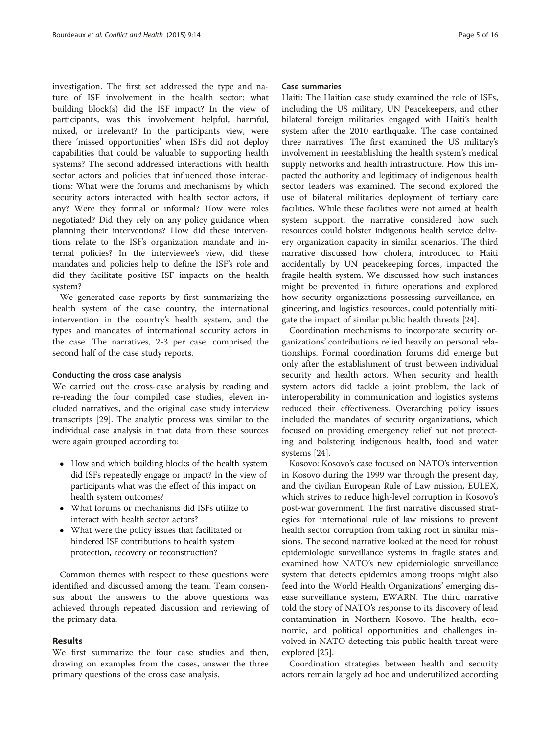investigation. The first set addressed the type and nature of ISF involvement in the health sector: what building block(s) did the ISF impact? In the view of participants, was this involvement helpful, harmful, mixed, or irrelevant? In the participants view, were there 'missed opportunities' when ISFs did not deploy capabilities that could be valuable to supporting health systems? The second addressed interactions with health sector actors and policies that influenced those interactions: What were the forums and mechanisms by which security actors interacted with health sector actors, if any? Were they formal or informal? How were roles negotiated? Did they rely on any policy guidance when planning their interventions? How did these interventions relate to the ISF's organization mandate and internal policies? In the interviewee's view, did these mandates and policies help to define the ISF's role and did they facilitate positive ISF impacts on the health system?

We generated case reports by first summarizing the health system of the case country, the international intervention in the country's health system, and the types and mandates of international security actors in the case. The narratives, 2-3 per case, comprised the second half of the case study reports.

#### Conducting the cross case analysis

We carried out the cross-case analysis by reading and re-reading the four compiled case studies, eleven included narratives, and the original case study interview transcripts [\[29\]](#page-14-0). The analytic process was similar to the individual case analysis in that data from these sources were again grouped according to:

- How and which building blocks of the health system did ISFs repeatedly engage or impact? In the view of participants what was the effect of this impact on health system outcomes?
- What forums or mechanisms did ISFs utilize to interact with health sector actors?
- What were the policy issues that facilitated or hindered ISF contributions to health system protection, recovery or reconstruction?

Common themes with respect to these questions were identified and discussed among the team. Team consensus about the answers to the above questions was achieved through repeated discussion and reviewing of the primary data.

# Results

We first summarize the four case studies and then, drawing on examples from the cases, answer the three primary questions of the cross case analysis.

#### Case summaries

Haiti: The Haitian case study examined the role of ISFs, including the US military, UN Peacekeepers, and other bilateral foreign militaries engaged with Haiti's health system after the 2010 earthquake. The case contained three narratives. The first examined the US military's involvement in reestablishing the health system's medical supply networks and health infrastructure. How this impacted the authority and legitimacy of indigenous health sector leaders was examined. The second explored the use of bilateral militaries deployment of tertiary care facilities. While these facilities were not aimed at health system support, the narrative considered how such resources could bolster indigenous health service delivery organization capacity in similar scenarios. The third narrative discussed how cholera, introduced to Haiti accidentally by UN peacekeeping forces, impacted the fragile health system. We discussed how such instances might be prevented in future operations and explored how security organizations possessing surveillance, engineering, and logistics resources, could potentially mitigate the impact of similar public health threats [[24\]](#page-14-0).

Coordination mechanisms to incorporate security organizations' contributions relied heavily on personal relationships. Formal coordination forums did emerge but only after the establishment of trust between individual security and health actors. When security and health system actors did tackle a joint problem, the lack of interoperability in communication and logistics systems reduced their effectiveness. Overarching policy issues included the mandates of security organizations, which focused on providing emergency relief but not protecting and bolstering indigenous health, food and water systems [\[24](#page-14-0)].

Kosovo: Kosovo's case focused on NATO's intervention in Kosovo during the 1999 war through the present day, and the civilian European Rule of Law mission, EULEX, which strives to reduce high-level corruption in Kosovo's post-war government. The first narrative discussed strategies for international rule of law missions to prevent health sector corruption from taking root in similar missions. The second narrative looked at the need for robust epidemiologic surveillance systems in fragile states and examined how NATO's new epidemiologic surveillance system that detects epidemics among troops might also feed into the World Health Organizations' emerging disease surveillance system, EWARN. The third narrative told the story of NATO's response to its discovery of lead contamination in Northern Kosovo. The health, economic, and political opportunities and challenges involved in NATO detecting this public health threat were explored [[25\]](#page-14-0).

Coordination strategies between health and security actors remain largely ad hoc and underutilized according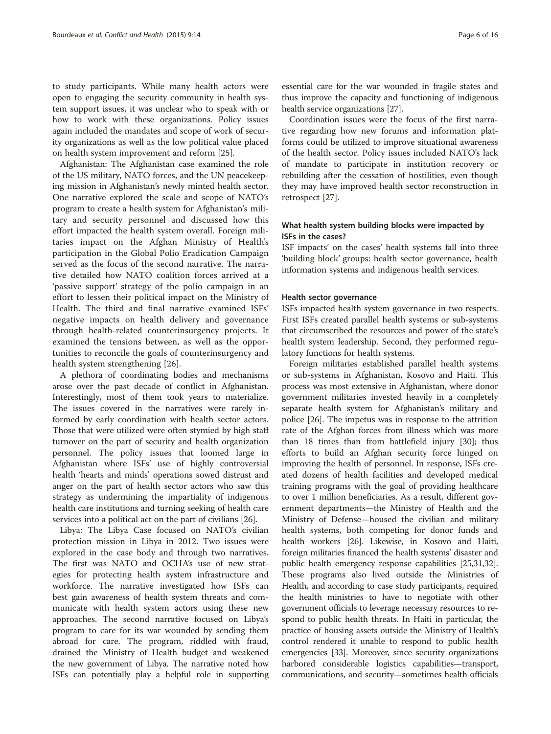to study participants. While many health actors were open to engaging the security community in health system support issues, it was unclear who to speak with or how to work with these organizations. Policy issues again included the mandates and scope of work of security organizations as well as the low political value placed on health system improvement and reform [[25](#page-14-0)].

Afghanistan: The Afghanistan case examined the role of the US military, NATO forces, and the UN peacekeeping mission in Afghanistan's newly minted health sector. One narrative explored the scale and scope of NATO's program to create a health system for Afghanistan's military and security personnel and discussed how this effort impacted the health system overall. Foreign militaries impact on the Afghan Ministry of Health's participation in the Global Polio Eradication Campaign served as the focus of the second narrative. The narrative detailed how NATO coalition forces arrived at a 'passive support' strategy of the polio campaign in an effort to lessen their political impact on the Ministry of Health. The third and final narrative examined ISFs' negative impacts on health delivery and governance through health-related counterinsurgency projects. It examined the tensions between, as well as the opportunities to reconcile the goals of counterinsurgency and health system strengthening [\[26](#page-14-0)].

A plethora of coordinating bodies and mechanisms arose over the past decade of conflict in Afghanistan. Interestingly, most of them took years to materialize. The issues covered in the narratives were rarely informed by early coordination with health sector actors. Those that were utilized were often stymied by high staff turnover on the part of security and health organization personnel. The policy issues that loomed large in Afghanistan where ISFs' use of highly controversial health 'hearts and minds' operations sowed distrust and anger on the part of health sector actors who saw this strategy as undermining the impartiality of indigenous health care institutions and turning seeking of health care services into a political act on the part of civilians [\[26](#page-14-0)].

Libya: The Libya Case focused on NATO's civilian protection mission in Libya in 2012. Two issues were explored in the case body and through two narratives. The first was NATO and OCHA's use of new strategies for protecting health system infrastructure and workforce. The narrative investigated how ISFs can best gain awareness of health system threats and communicate with health system actors using these new approaches. The second narrative focused on Libya's program to care for its war wounded by sending them abroad for care. The program, riddled with fraud, drained the Ministry of Health budget and weakened the new government of Libya. The narrative noted how ISFs can potentially play a helpful role in supporting

essential care for the war wounded in fragile states and thus improve the capacity and functioning of indigenous health service organizations [\[27\]](#page-14-0).

Coordination issues were the focus of the first narrative regarding how new forums and information platforms could be utilized to improve situational awareness of the health sector. Policy issues included NATO's lack of mandate to participate in institution recovery or rebuilding after the cessation of hostilities, even though they may have improved health sector reconstruction in retrospect [[27\]](#page-14-0).

# What health system building blocks were impacted by ISFs in the cases?

ISF impacts' on the cases' health systems fall into three 'building block' groups: health sector governance, health information systems and indigenous health services.

#### Health sector governance

ISFs impacted health system governance in two respects. First ISFs created parallel health systems or sub-systems that circumscribed the resources and power of the state's health system leadership. Second, they performed regulatory functions for health systems.

Foreign militaries established parallel health systems or sub-systems in Afghanistan, Kosovo and Haiti. This process was most extensive in Afghanistan, where donor government militaries invested heavily in a completely separate health system for Afghanistan's military and police [\[26](#page-14-0)]. The impetus was in response to the attrition rate of the Afghan forces from illness which was more than 18 times than from battlefield injury [\[30\]](#page-14-0); thus efforts to build an Afghan security force hinged on improving the health of personnel. In response, ISFs created dozens of health facilities and developed medical training programs with the goal of providing healthcare to over 1 million beneficiaries. As a result, different government departments—the Ministry of Health and the Ministry of Defense—housed the civilian and military health systems, both competing for donor funds and health workers [\[26\]](#page-14-0). Likewise, in Kosovo and Haiti, foreign militaries financed the health systems' disaster and public health emergency response capabilities [\[25,31,32](#page-14-0)]. These programs also lived outside the Ministries of Health, and according to case study participants, required the health ministries to have to negotiate with other government officials to leverage necessary resources to respond to public health threats. In Haiti in particular, the practice of housing assets outside the Ministry of Health's control rendered it unable to respond to public health emergencies [\[33](#page-14-0)]. Moreover, since security organizations harbored considerable logistics capabilities—transport, communications, and security—sometimes health officials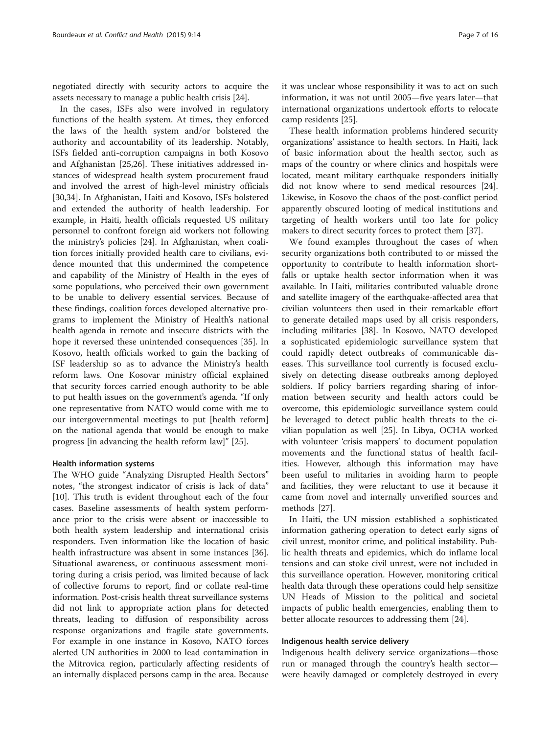negotiated directly with security actors to acquire the assets necessary to manage a public health crisis [[24](#page-14-0)].

In the cases, ISFs also were involved in regulatory functions of the health system. At times, they enforced the laws of the health system and/or bolstered the authority and accountability of its leadership. Notably, ISFs fielded anti-corruption campaigns in both Kosovo and Afghanistan [\[25,26\]](#page-14-0). These initiatives addressed instances of widespread health system procurement fraud and involved the arrest of high-level ministry officials [[30,34\]](#page-14-0). In Afghanistan, Haiti and Kosovo, ISFs bolstered and extended the authority of health leadership. For example, in Haiti, health officials requested US military personnel to confront foreign aid workers not following the ministry's policies [[24](#page-14-0)]. In Afghanistan, when coalition forces initially provided health care to civilians, evidence mounted that this undermined the competence and capability of the Ministry of Health in the eyes of some populations, who perceived their own government to be unable to delivery essential services. Because of these findings, coalition forces developed alternative programs to implement the Ministry of Health's national health agenda in remote and insecure districts with the hope it reversed these unintended consequences [\[35](#page-14-0)]. In Kosovo, health officials worked to gain the backing of ISF leadership so as to advance the Ministry's health reform laws. One Kosovar ministry official explained that security forces carried enough authority to be able to put health issues on the government's agenda. "If only one representative from NATO would come with me to our intergovernmental meetings to put [health reform] on the national agenda that would be enough to make progress [in advancing the health reform law]" [\[25](#page-14-0)].

#### Health information systems

The WHO guide "Analyzing Disrupted Health Sectors" notes, "the strongest indicator of crisis is lack of data" [[10\]](#page-14-0). This truth is evident throughout each of the four cases. Baseline assessments of health system performance prior to the crisis were absent or inaccessible to both health system leadership and international crisis responders. Even information like the location of basic health infrastructure was absent in some instances [\[36](#page-15-0)]. Situational awareness, or continuous assessment monitoring during a crisis period, was limited because of lack of collective forums to report, find or collate real-time information. Post-crisis health threat surveillance systems did not link to appropriate action plans for detected threats, leading to diffusion of responsibility across response organizations and fragile state governments. For example in one instance in Kosovo, NATO forces alerted UN authorities in 2000 to lead contamination in the Mitrovica region, particularly affecting residents of an internally displaced persons camp in the area. Because it was unclear whose responsibility it was to act on such information, it was not until 2005—five years later—that international organizations undertook efforts to relocate camp residents [[25\]](#page-14-0).

These health information problems hindered security organizations' assistance to health sectors. In Haiti, lack of basic information about the health sector, such as maps of the country or where clinics and hospitals were located, meant military earthquake responders initially did not know where to send medical resources [\[24](#page-14-0)]. Likewise, in Kosovo the chaos of the post-conflict period apparently obscured looting of medical institutions and targeting of health workers until too late for policy makers to direct security forces to protect them [\[37](#page-15-0)].

We found examples throughout the cases of when security organizations both contributed to or missed the opportunity to contribute to health information shortfalls or uptake health sector information when it was available. In Haiti, militaries contributed valuable drone and satellite imagery of the earthquake-affected area that civilian volunteers then used in their remarkable effort to generate detailed maps used by all crisis responders, including militaries [[38\]](#page-15-0). In Kosovo, NATO developed a sophisticated epidemiologic surveillance system that could rapidly detect outbreaks of communicable diseases. This surveillance tool currently is focused exclusively on detecting disease outbreaks among deployed soldiers. If policy barriers regarding sharing of information between security and health actors could be overcome, this epidemiologic surveillance system could be leveraged to detect public health threats to the civilian population as well [[25\]](#page-14-0). In Libya, OCHA worked with volunteer 'crisis mappers' to document population movements and the functional status of health facilities. However, although this information may have been useful to militaries in avoiding harm to people and facilities, they were reluctant to use it because it came from novel and internally unverified sources and methods [\[27\]](#page-14-0).

In Haiti, the UN mission established a sophisticated information gathering operation to detect early signs of civil unrest, monitor crime, and political instability. Public health threats and epidemics, which do inflame local tensions and can stoke civil unrest, were not included in this surveillance operation. However, monitoring critical health data through these operations could help sensitize UN Heads of Mission to the political and societal impacts of public health emergencies, enabling them to better allocate resources to addressing them [[24](#page-14-0)].

#### Indigenous health service delivery

Indigenous health delivery service organizations—those run or managed through the country's health sector were heavily damaged or completely destroyed in every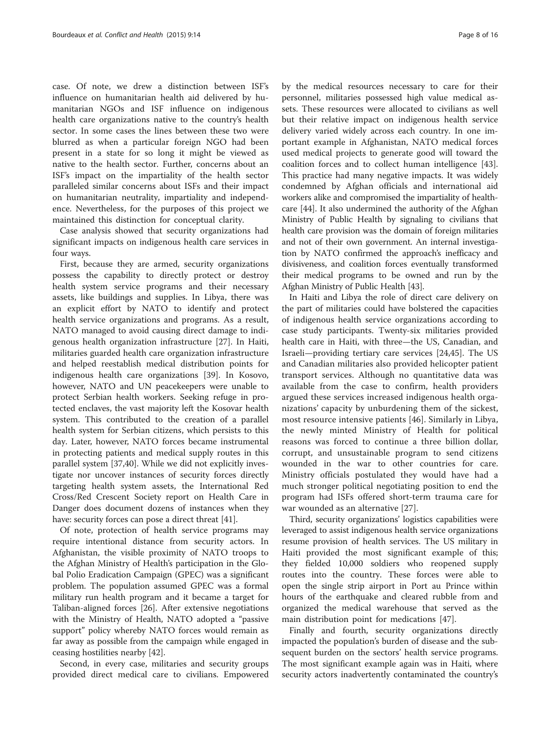case. Of note, we drew a distinction between ISF's influence on humanitarian health aid delivered by humanitarian NGOs and ISF influence on indigenous health care organizations native to the country's health sector. In some cases the lines between these two were blurred as when a particular foreign NGO had been present in a state for so long it might be viewed as native to the health sector. Further, concerns about an ISF's impact on the impartiality of the health sector paralleled similar concerns about ISFs and their impact on humanitarian neutrality, impartiality and independence. Nevertheless, for the purposes of this project we maintained this distinction for conceptual clarity.

Case analysis showed that security organizations had significant impacts on indigenous health care services in four ways.

First, because they are armed, security organizations possess the capability to directly protect or destroy health system service programs and their necessary assets, like buildings and supplies. In Libya, there was an explicit effort by NATO to identify and protect health service organizations and programs. As a result, NATO managed to avoid causing direct damage to indigenous health organization infrastructure [\[27](#page-14-0)]. In Haiti, militaries guarded health care organization infrastructure and helped reestablish medical distribution points for indigenous health care organizations [\[39](#page-15-0)]. In Kosovo, however, NATO and UN peacekeepers were unable to protect Serbian health workers. Seeking refuge in protected enclaves, the vast majority left the Kosovar health system. This contributed to the creation of a parallel health system for Serbian citizens, which persists to this day. Later, however, NATO forces became instrumental in protecting patients and medical supply routes in this parallel system [[37,40\]](#page-15-0). While we did not explicitly investigate nor uncover instances of security forces directly targeting health system assets, the International Red Cross/Red Crescent Society report on Health Care in Danger does document dozens of instances when they have: security forces can pose a direct threat [\[41\]](#page-15-0).

Of note, protection of health service programs may require intentional distance from security actors. In Afghanistan, the visible proximity of NATO troops to the Afghan Ministry of Health's participation in the Global Polio Eradication Campaign (GPEC) was a significant problem. The population assumed GPEC was a formal military run health program and it became a target for Taliban-aligned forces [\[26\]](#page-14-0). After extensive negotiations with the Ministry of Health, NATO adopted a "passive support" policy whereby NATO forces would remain as far away as possible from the campaign while engaged in ceasing hostilities nearby [[42](#page-15-0)].

Second, in every case, militaries and security groups provided direct medical care to civilians. Empowered

by the medical resources necessary to care for their personnel, militaries possessed high value medical assets. These resources were allocated to civilians as well but their relative impact on indigenous health service delivery varied widely across each country. In one important example in Afghanistan, NATO medical forces used medical projects to generate good will toward the coalition forces and to collect human intelligence [\[43](#page-15-0)]. This practice had many negative impacts. It was widely condemned by Afghan officials and international aid workers alike and compromised the impartiality of healthcare [[44](#page-15-0)]. It also undermined the authority of the Afghan Ministry of Public Health by signaling to civilians that health care provision was the domain of foreign militaries and not of their own government. An internal investigation by NATO confirmed the approach's inefficacy and divisiveness, and coalition forces eventually transformed their medical programs to be owned and run by the Afghan Ministry of Public Health [\[43\]](#page-15-0).

In Haiti and Libya the role of direct care delivery on the part of militaries could have bolstered the capacities of indigenous health service organizations according to case study participants. Twenty-six militaries provided health care in Haiti, with three—the US, Canadian, and Israeli—providing tertiary care services [[24,](#page-14-0)[45\]](#page-15-0). The US and Canadian militaries also provided helicopter patient transport services. Although no quantitative data was available from the case to confirm, health providers argued these services increased indigenous health organizations' capacity by unburdening them of the sickest, most resource intensive patients [\[46](#page-15-0)]. Similarly in Libya, the newly minted Ministry of Health for political reasons was forced to continue a three billion dollar, corrupt, and unsustainable program to send citizens wounded in the war to other countries for care. Ministry officials postulated they would have had a much stronger political negotiating position to end the program had ISFs offered short-term trauma care for war wounded as an alternative [[27\]](#page-14-0).

Third, security organizations' logistics capabilities were leveraged to assist indigenous health service organizations resume provision of health services. The US military in Haiti provided the most significant example of this; they fielded 10,000 soldiers who reopened supply routes into the country. These forces were able to open the single strip airport in Port au Prince within hours of the earthquake and cleared rubble from and organized the medical warehouse that served as the main distribution point for medications [\[47](#page-15-0)].

Finally and fourth, security organizations directly impacted the population's burden of disease and the subsequent burden on the sectors' health service programs. The most significant example again was in Haiti, where security actors inadvertently contaminated the country's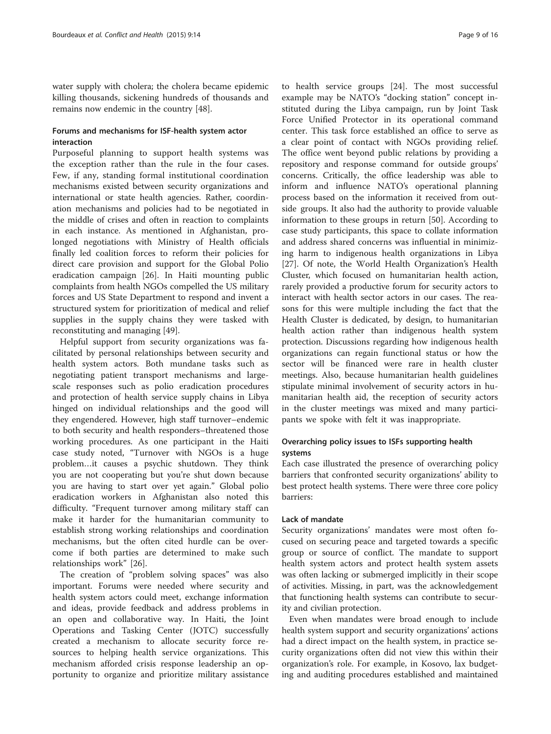water supply with cholera; the cholera became epidemic killing thousands, sickening hundreds of thousands and remains now endemic in the country [\[48](#page-15-0)].

# Forums and mechanisms for ISF-health system actor interaction

Purposeful planning to support health systems was the exception rather than the rule in the four cases. Few, if any, standing formal institutional coordination mechanisms existed between security organizations and international or state health agencies. Rather, coordination mechanisms and policies had to be negotiated in the middle of crises and often in reaction to complaints in each instance. As mentioned in Afghanistan, prolonged negotiations with Ministry of Health officials finally led coalition forces to reform their policies for direct care provision and support for the Global Polio eradication campaign [[26\]](#page-14-0). In Haiti mounting public complaints from health NGOs compelled the US military forces and US State Department to respond and invent a structured system for prioritization of medical and relief supplies in the supply chains they were tasked with reconstituting and managing [\[49](#page-15-0)].

Helpful support from security organizations was facilitated by personal relationships between security and health system actors. Both mundane tasks such as negotiating patient transport mechanisms and largescale responses such as polio eradication procedures and protection of health service supply chains in Libya hinged on individual relationships and the good will they engendered. However, high staff turnover–endemic to both security and health responders–threatened those working procedures. As one participant in the Haiti case study noted, "Turnover with NGOs is a huge problem…it causes a psychic shutdown. They think you are not cooperating but you're shut down because you are having to start over yet again." Global polio eradication workers in Afghanistan also noted this difficulty. "Frequent turnover among military staff can make it harder for the humanitarian community to establish strong working relationships and coordination mechanisms, but the often cited hurdle can be overcome if both parties are determined to make such relationships work" [[26\]](#page-14-0).

The creation of "problem solving spaces" was also important. Forums were needed where security and health system actors could meet, exchange information and ideas, provide feedback and address problems in an open and collaborative way. In Haiti, the Joint Operations and Tasking Center (JOTC) successfully created a mechanism to allocate security force resources to helping health service organizations. This mechanism afforded crisis response leadership an opportunity to organize and prioritize military assistance

to health service groups [\[24](#page-14-0)]. The most successful example may be NATO's "docking station" concept instituted during the Libya campaign, run by Joint Task Force Unified Protector in its operational command center. This task force established an office to serve as a clear point of contact with NGOs providing relief. The office went beyond public relations by providing a repository and response command for outside groups' concerns. Critically, the office leadership was able to inform and influence NATO's operational planning process based on the information it received from outside groups. It also had the authority to provide valuable information to these groups in return [\[50](#page-15-0)]. According to case study participants, this space to collate information and address shared concerns was influential in minimizing harm to indigenous health organizations in Libya [[27\]](#page-14-0). Of note, the World Health Organization's Health Cluster, which focused on humanitarian health action, rarely provided a productive forum for security actors to interact with health sector actors in our cases. The reasons for this were multiple including the fact that the Health Cluster is dedicated, by design, to humanitarian health action rather than indigenous health system protection. Discussions regarding how indigenous health organizations can regain functional status or how the sector will be financed were rare in health cluster meetings. Also, because humanitarian health guidelines stipulate minimal involvement of security actors in humanitarian health aid, the reception of security actors in the cluster meetings was mixed and many participants we spoke with felt it was inappropriate.

# Overarching policy issues to ISFs supporting health systems

Each case illustrated the presence of overarching policy barriers that confronted security organizations' ability to best protect health systems. There were three core policy barriers:

# Lack of mandate

Security organizations' mandates were most often focused on securing peace and targeted towards a specific group or source of conflict. The mandate to support health system actors and protect health system assets was often lacking or submerged implicitly in their scope of activities. Missing, in part, was the acknowledgement that functioning health systems can contribute to security and civilian protection.

Even when mandates were broad enough to include health system support and security organizations' actions had a direct impact on the health system, in practice security organizations often did not view this within their organization's role. For example, in Kosovo, lax budgeting and auditing procedures established and maintained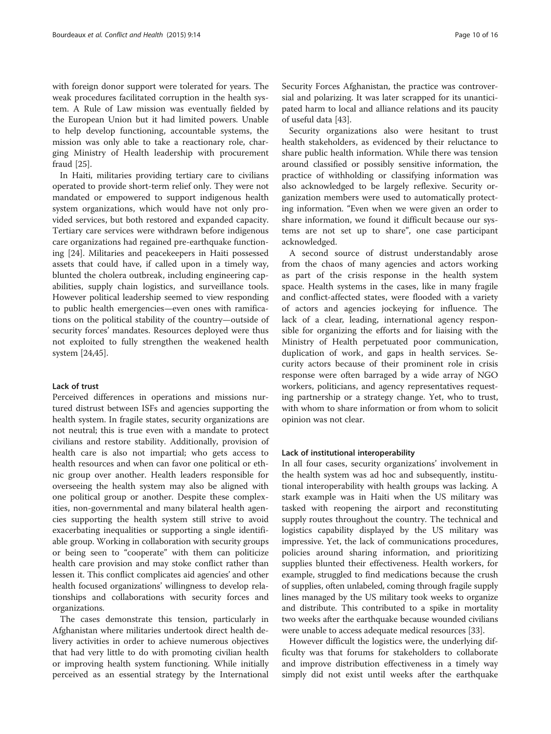with foreign donor support were tolerated for years. The weak procedures facilitated corruption in the health system. A Rule of Law mission was eventually fielded by the European Union but it had limited powers. Unable to help develop functioning, accountable systems, the mission was only able to take a reactionary role, charging Ministry of Health leadership with procurement fraud [\[25](#page-14-0)].

In Haiti, militaries providing tertiary care to civilians operated to provide short-term relief only. They were not mandated or empowered to support indigenous health system organizations, which would have not only provided services, but both restored and expanded capacity. Tertiary care services were withdrawn before indigenous care organizations had regained pre-earthquake functioning [[24](#page-14-0)]. Militaries and peacekeepers in Haiti possessed assets that could have, if called upon in a timely way, blunted the cholera outbreak, including engineering capabilities, supply chain logistics, and surveillance tools. However political leadership seemed to view responding to public health emergencies—even ones with ramifications on the political stability of the country—outside of security forces' mandates. Resources deployed were thus not exploited to fully strengthen the weakened health system [\[24](#page-14-0)[,45\]](#page-15-0).

#### Lack of trust

Perceived differences in operations and missions nurtured distrust between ISFs and agencies supporting the health system. In fragile states, security organizations are not neutral; this is true even with a mandate to protect civilians and restore stability. Additionally, provision of health care is also not impartial; who gets access to health resources and when can favor one political or ethnic group over another. Health leaders responsible for overseeing the health system may also be aligned with one political group or another. Despite these complexities, non-governmental and many bilateral health agencies supporting the health system still strive to avoid exacerbating inequalities or supporting a single identifiable group. Working in collaboration with security groups or being seen to "cooperate" with them can politicize health care provision and may stoke conflict rather than lessen it. This conflict complicates aid agencies' and other health focused organizations' willingness to develop relationships and collaborations with security forces and organizations.

The cases demonstrate this tension, particularly in Afghanistan where militaries undertook direct health delivery activities in order to achieve numerous objectives that had very little to do with promoting civilian health or improving health system functioning. While initially perceived as an essential strategy by the International

Security Forces Afghanistan, the practice was controversial and polarizing. It was later scrapped for its unanticipated harm to local and alliance relations and its paucity of useful data [\[43\]](#page-15-0).

Security organizations also were hesitant to trust health stakeholders, as evidenced by their reluctance to share public health information. While there was tension around classified or possibly sensitive information, the practice of withholding or classifying information was also acknowledged to be largely reflexive. Security organization members were used to automatically protecting information. "Even when we were given an order to share information, we found it difficult because our systems are not set up to share", one case participant acknowledged.

A second source of distrust understandably arose from the chaos of many agencies and actors working as part of the crisis response in the health system space. Health systems in the cases, like in many fragile and conflict-affected states, were flooded with a variety of actors and agencies jockeying for influence. The lack of a clear, leading, international agency responsible for organizing the efforts and for liaising with the Ministry of Health perpetuated poor communication, duplication of work, and gaps in health services. Security actors because of their prominent role in crisis response were often barraged by a wide array of NGO workers, politicians, and agency representatives requesting partnership or a strategy change. Yet, who to trust, with whom to share information or from whom to solicit opinion was not clear.

#### Lack of institutional interoperability

In all four cases, security organizations' involvement in the health system was ad hoc and subsequently, institutional interoperability with health groups was lacking. A stark example was in Haiti when the US military was tasked with reopening the airport and reconstituting supply routes throughout the country. The technical and logistics capability displayed by the US military was impressive. Yet, the lack of communications procedures, policies around sharing information, and prioritizing supplies blunted their effectiveness. Health workers, for example, struggled to find medications because the crush of supplies, often unlabeled, coming through fragile supply lines managed by the US military took weeks to organize and distribute. This contributed to a spike in mortality two weeks after the earthquake because wounded civilians were unable to access adequate medical resources [\[33\]](#page-14-0).

However difficult the logistics were, the underlying difficulty was that forums for stakeholders to collaborate and improve distribution effectiveness in a timely way simply did not exist until weeks after the earthquake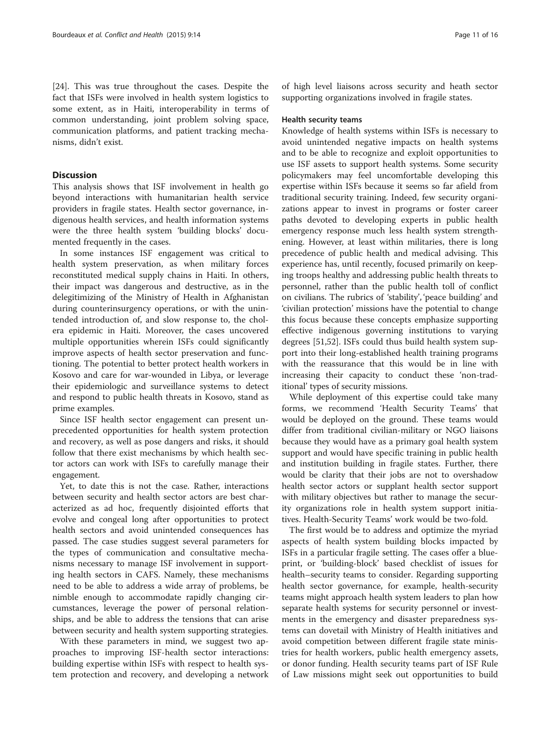[[24\]](#page-14-0). This was true throughout the cases. Despite the fact that ISFs were involved in health system logistics to some extent, as in Haiti, interoperability in terms of common understanding, joint problem solving space, communication platforms, and patient tracking mechanisms, didn't exist.

# **Discussion**

This analysis shows that ISF involvement in health go beyond interactions with humanitarian health service providers in fragile states. Health sector governance, indigenous health services, and health information systems were the three health system 'building blocks' documented frequently in the cases.

In some instances ISF engagement was critical to health system preservation, as when military forces reconstituted medical supply chains in Haiti. In others, their impact was dangerous and destructive, as in the delegitimizing of the Ministry of Health in Afghanistan during counterinsurgency operations, or with the unintended introduction of, and slow response to, the cholera epidemic in Haiti. Moreover, the cases uncovered multiple opportunities wherein ISFs could significantly improve aspects of health sector preservation and functioning. The potential to better protect health workers in Kosovo and care for war-wounded in Libya, or leverage their epidemiologic and surveillance systems to detect and respond to public health threats in Kosovo, stand as prime examples.

Since ISF health sector engagement can present unprecedented opportunities for health system protection and recovery, as well as pose dangers and risks, it should follow that there exist mechanisms by which health sector actors can work with ISFs to carefully manage their engagement.

Yet, to date this is not the case. Rather, interactions between security and health sector actors are best characterized as ad hoc, frequently disjointed efforts that evolve and congeal long after opportunities to protect health sectors and avoid unintended consequences has passed. The case studies suggest several parameters for the types of communication and consultative mechanisms necessary to manage ISF involvement in supporting health sectors in CAFS. Namely, these mechanisms need to be able to address a wide array of problems, be nimble enough to accommodate rapidly changing circumstances, leverage the power of personal relationships, and be able to address the tensions that can arise between security and health system supporting strategies.

With these parameters in mind, we suggest two approaches to improving ISF-health sector interactions: building expertise within ISFs with respect to health system protection and recovery, and developing a network of high level liaisons across security and heath sector supporting organizations involved in fragile states.

#### Health security teams

Knowledge of health systems within ISFs is necessary to avoid unintended negative impacts on health systems and to be able to recognize and exploit opportunities to use ISF assets to support health systems. Some security policymakers may feel uncomfortable developing this expertise within ISFs because it seems so far afield from traditional security training. Indeed, few security organizations appear to invest in programs or foster career paths devoted to developing experts in public health emergency response much less health system strengthening. However, at least within militaries, there is long precedence of public health and medical advising. This experience has, until recently, focused primarily on keeping troops healthy and addressing public health threats to personnel, rather than the public health toll of conflict on civilians. The rubrics of 'stability', 'peace building' and 'civilian protection' missions have the potential to change this focus because these concepts emphasize supporting effective indigenous governing institutions to varying degrees [\[51,52](#page-15-0)]. ISFs could thus build health system support into their long-established health training programs with the reassurance that this would be in line with increasing their capacity to conduct these 'non-traditional' types of security missions.

While deployment of this expertise could take many forms, we recommend 'Health Security Teams' that would be deployed on the ground. These teams would differ from traditional civilian-military or NGO liaisons because they would have as a primary goal health system support and would have specific training in public health and institution building in fragile states. Further, there would be clarity that their jobs are not to overshadow health sector actors or supplant health sector support with military objectives but rather to manage the security organizations role in health system support initiatives. Health-Security Teams' work would be two-fold.

The first would be to address and optimize the myriad aspects of health system building blocks impacted by ISFs in a particular fragile setting. The cases offer a blueprint, or 'building-block' based checklist of issues for health–security teams to consider. Regarding supporting health sector governance, for example, health-security teams might approach health system leaders to plan how separate health systems for security personnel or investments in the emergency and disaster preparedness systems can dovetail with Ministry of Health initiatives and avoid competition between different fragile state ministries for health workers, public health emergency assets, or donor funding. Health security teams part of ISF Rule of Law missions might seek out opportunities to build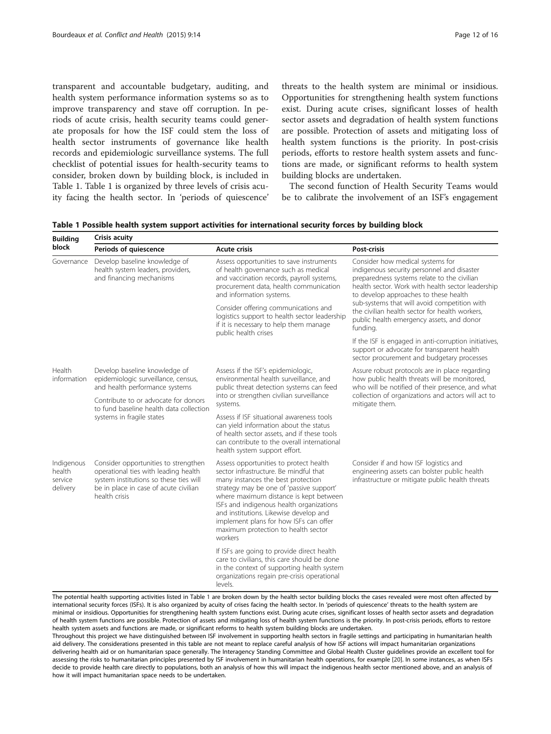transparent and accountable budgetary, auditing, and health system performance information systems so as to improve transparency and stave off corruption. In periods of acute crisis, health security teams could generate proposals for how the ISF could stem the loss of health sector instruments of governance like health records and epidemiologic surveillance systems. The full checklist of potential issues for health-security teams to consider, broken down by building block, is included in Table 1. Table 1 is organized by three levels of crisis acuity facing the health sector. In 'periods of quiescence'

threats to the health system are minimal or insidious. Opportunities for strengthening health system functions exist. During acute crises, significant losses of health sector assets and degradation of health system functions are possible. Protection of assets and mitigating loss of health system functions is the priority. In post-crisis periods, efforts to restore health system assets and functions are made, or significant reforms to health system building blocks are undertaken.

The second function of Health Security Teams would be to calibrate the involvement of an ISF's engagement

| Table 1 Possible health system support activities for international security forces by building block |  |  |
|-------------------------------------------------------------------------------------------------------|--|--|
|-------------------------------------------------------------------------------------------------------|--|--|

| <b>Building</b><br>block                    | <b>Crisis acuity</b>                                                                                                                                                             |                                                                                                                                                                                                                                                                                                                                                                                                |                                                                                                                                                                                                                                                                                                                                                                                        |  |
|---------------------------------------------|----------------------------------------------------------------------------------------------------------------------------------------------------------------------------------|------------------------------------------------------------------------------------------------------------------------------------------------------------------------------------------------------------------------------------------------------------------------------------------------------------------------------------------------------------------------------------------------|----------------------------------------------------------------------------------------------------------------------------------------------------------------------------------------------------------------------------------------------------------------------------------------------------------------------------------------------------------------------------------------|--|
|                                             | Periods of quiescence                                                                                                                                                            | <b>Acute crisis</b>                                                                                                                                                                                                                                                                                                                                                                            | Post-crisis                                                                                                                                                                                                                                                                                                                                                                            |  |
| Governance                                  | Develop baseline knowledge of<br>health system leaders, providers,<br>and financing mechanisms                                                                                   | Assess opportunities to save instruments<br>of health governance such as medical<br>and vaccination records, payroll systems,<br>procurement data, health communication<br>and information systems.                                                                                                                                                                                            | Consider how medical systems for<br>indigenous security personnel and disaster<br>preparedness systems relate to the civilian<br>health sector. Work with health sector leadership<br>to develop approaches to these health<br>sub-systems that will avoid competition with<br>the civilian health sector for health workers,<br>public health emergency assets, and donor<br>funding. |  |
|                                             |                                                                                                                                                                                  | Consider offering communications and<br>logistics support to health sector leadership<br>if it is necessary to help them manage<br>public health crises                                                                                                                                                                                                                                        |                                                                                                                                                                                                                                                                                                                                                                                        |  |
|                                             |                                                                                                                                                                                  |                                                                                                                                                                                                                                                                                                                                                                                                | If the ISF is engaged in anti-corruption initiatives,<br>support or advocate for transparent health<br>sector procurement and budgetary processes                                                                                                                                                                                                                                      |  |
| Health<br>information                       | Develop baseline knowledge of<br>epidemiologic surveillance, census,<br>and health performance systems                                                                           | Assess if the ISF's epidemiologic,<br>environmental health surveillance, and<br>public threat detection systems can feed                                                                                                                                                                                                                                                                       | Assure robust protocols are in place regarding<br>how public health threats will be monitored,<br>who will be notified of their presence, and what<br>collection of organizations and actors will act to<br>mitigate them.                                                                                                                                                             |  |
|                                             | Contribute to or advocate for donors<br>to fund baseline health data collection<br>systems in fragile states                                                                     | into or strengthen civilian surveillance<br>systems.                                                                                                                                                                                                                                                                                                                                           |                                                                                                                                                                                                                                                                                                                                                                                        |  |
|                                             |                                                                                                                                                                                  | Assess if ISF situational awareness tools<br>can yield information about the status<br>of health sector assets, and if these tools<br>can contribute to the overall international<br>health system support effort.                                                                                                                                                                             |                                                                                                                                                                                                                                                                                                                                                                                        |  |
| Indigenous<br>health<br>service<br>delivery | Consider opportunities to strengthen<br>operational ties with leading health<br>system institutions so these ties will<br>be in place in case of acute civilian<br>health crisis | Assess opportunities to protect health<br>sector infrastructure. Be mindful that<br>many instances the best protection<br>strategy may be one of 'passive support'<br>where maximum distance is kept between<br>ISFs and indigenous health organizations<br>and institutions. Likewise develop and<br>implement plans for how ISFs can offer<br>maximum protection to health sector<br>workers | Consider if and how ISF logistics and<br>engineering assets can bolster public health<br>infrastructure or mitigate public health threats                                                                                                                                                                                                                                              |  |
|                                             |                                                                                                                                                                                  | If ISFs are going to provide direct health<br>care to civilians, this care should be done<br>in the context of supporting health system<br>organizations regain pre-crisis operational<br>levels.                                                                                                                                                                                              |                                                                                                                                                                                                                                                                                                                                                                                        |  |

The potential health supporting activities listed in Table 1 are broken down by the health sector building blocks the cases revealed were most often affected by international security forces (ISFs). It is also organized by acuity of crises facing the health sector. In 'periods of quiescence' threats to the health system are minimal or insidious. Opportunities for strengthening health system functions exist. During acute crises, significant losses of health sector assets and degradation of health system functions are possible. Protection of assets and mitigating loss of health system functions is the priority. In post-crisis periods, efforts to restore health system assets and functions are made, or significant reforms to health system building blocks are undertaken.

Throughout this project we have distinguished between ISF involvement in supporting health sectors in fragile settings and participating in humanitarian health aid delivery. The considerations presented in this table are not meant to replace careful analysis of how ISF actions will impact humanitarian organizations delivering health aid or on humanitarian space generally. The Interagency Standing Committee and Global Health Cluster guidelines provide an excellent tool for assessing the risks to humanitarian principles presented by ISF involvement in humanitarian health operations, for example [[20](#page-14-0)]. In some instances, as when ISFs decide to provide health care directly to populations, both an analysis of how this will impact the indigenous health sector mentioned above, and an analysis of how it will impact humanitarian space needs to be undertaken.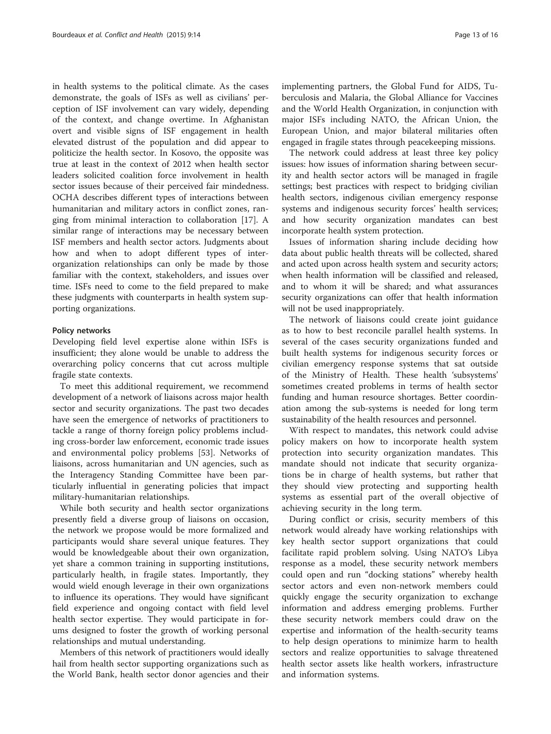in health systems to the political climate. As the cases demonstrate, the goals of ISFs as well as civilians' perception of ISF involvement can vary widely, depending of the context, and change overtime. In Afghanistan overt and visible signs of ISF engagement in health elevated distrust of the population and did appear to politicize the health sector. In Kosovo, the opposite was true at least in the context of 2012 when health sector leaders solicited coalition force involvement in health sector issues because of their perceived fair mindedness. OCHA describes different types of interactions between humanitarian and military actors in conflict zones, ranging from minimal interaction to collaboration [[17\]](#page-14-0). A similar range of interactions may be necessary between ISF members and health sector actors. Judgments about how and when to adopt different types of interorganization relationships can only be made by those familiar with the context, stakeholders, and issues over time. ISFs need to come to the field prepared to make these judgments with counterparts in health system supporting organizations.

#### Policy networks

Developing field level expertise alone within ISFs is insufficient; they alone would be unable to address the overarching policy concerns that cut across multiple fragile state contexts.

To meet this additional requirement, we recommend development of a network of liaisons across major health sector and security organizations. The past two decades have seen the emergence of networks of practitioners to tackle a range of thorny foreign policy problems including cross-border law enforcement, economic trade issues and environmental policy problems [\[53](#page-15-0)]. Networks of liaisons, across humanitarian and UN agencies, such as the Interagency Standing Committee have been particularly influential in generating policies that impact military-humanitarian relationships.

While both security and health sector organizations presently field a diverse group of liaisons on occasion, the network we propose would be more formalized and participants would share several unique features. They would be knowledgeable about their own organization, yet share a common training in supporting institutions, particularly health, in fragile states. Importantly, they would wield enough leverage in their own organizations to influence its operations. They would have significant field experience and ongoing contact with field level health sector expertise. They would participate in forums designed to foster the growth of working personal relationships and mutual understanding.

Members of this network of practitioners would ideally hail from health sector supporting organizations such as the World Bank, health sector donor agencies and their implementing partners, the Global Fund for AIDS, Tuberculosis and Malaria, the Global Alliance for Vaccines and the World Health Organization, in conjunction with major ISFs including NATO, the African Union, the European Union, and major bilateral militaries often engaged in fragile states through peacekeeping missions.

The network could address at least three key policy issues: how issues of information sharing between security and health sector actors will be managed in fragile settings; best practices with respect to bridging civilian health sectors, indigenous civilian emergency response systems and indigenous security forces' health services; and how security organization mandates can best incorporate health system protection.

Issues of information sharing include deciding how data about public health threats will be collected, shared and acted upon across health system and security actors; when health information will be classified and released, and to whom it will be shared; and what assurances security organizations can offer that health information will not be used inappropriately.

The network of liaisons could create joint guidance as to how to best reconcile parallel health systems. In several of the cases security organizations funded and built health systems for indigenous security forces or civilian emergency response systems that sat outside of the Ministry of Health. These health 'subsystems' sometimes created problems in terms of health sector funding and human resource shortages. Better coordination among the sub-systems is needed for long term sustainability of the health resources and personnel.

With respect to mandates, this network could advise policy makers on how to incorporate health system protection into security organization mandates. This mandate should not indicate that security organizations be in charge of health systems, but rather that they should view protecting and supporting health systems as essential part of the overall objective of achieving security in the long term.

During conflict or crisis, security members of this network would already have working relationships with key health sector support organizations that could facilitate rapid problem solving. Using NATO's Libya response as a model, these security network members could open and run "docking stations" whereby health sector actors and even non-network members could quickly engage the security organization to exchange information and address emerging problems. Further these security network members could draw on the expertise and information of the health-security teams to help design operations to minimize harm to health sectors and realize opportunities to salvage threatened health sector assets like health workers, infrastructure and information systems.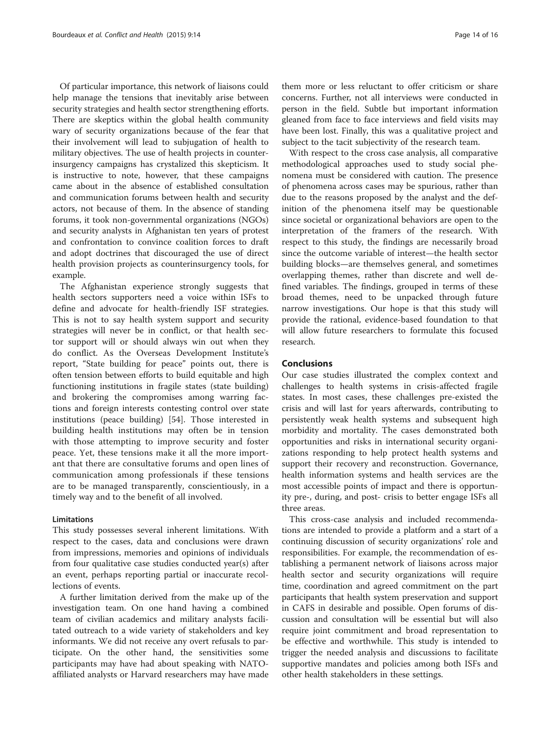Of particular importance, this network of liaisons could help manage the tensions that inevitably arise between security strategies and health sector strengthening efforts. There are skeptics within the global health community wary of security organizations because of the fear that their involvement will lead to subjugation of health to military objectives. The use of health projects in counterinsurgency campaigns has crystalized this skepticism. It is instructive to note, however, that these campaigns came about in the absence of established consultation and communication forums between health and security actors, not because of them. In the absence of standing forums, it took non-governmental organizations (NGOs) and security analysts in Afghanistan ten years of protest and confrontation to convince coalition forces to draft and adopt doctrines that discouraged the use of direct health provision projects as counterinsurgency tools, for example.

The Afghanistan experience strongly suggests that health sectors supporters need a voice within ISFs to define and advocate for health-friendly ISF strategies. This is not to say health system support and security strategies will never be in conflict, or that health sector support will or should always win out when they do conflict. As the Overseas Development Institute's report, "State building for peace" points out, there is often tension between efforts to build equitable and high functioning institutions in fragile states (state building) and brokering the compromises among warring factions and foreign interests contesting control over state institutions (peace building) [\[54](#page-15-0)]. Those interested in building health institutions may often be in tension with those attempting to improve security and foster peace. Yet, these tensions make it all the more important that there are consultative forums and open lines of communication among professionals if these tensions are to be managed transparently, conscientiously, in a timely way and to the benefit of all involved.

# Limitations

This study possesses several inherent limitations. With respect to the cases, data and conclusions were drawn from impressions, memories and opinions of individuals from four qualitative case studies conducted year(s) after an event, perhaps reporting partial or inaccurate recollections of events.

A further limitation derived from the make up of the investigation team. On one hand having a combined team of civilian academics and military analysts facilitated outreach to a wide variety of stakeholders and key informants. We did not receive any overt refusals to participate. On the other hand, the sensitivities some participants may have had about speaking with NATOaffiliated analysts or Harvard researchers may have made

them more or less reluctant to offer criticism or share concerns. Further, not all interviews were conducted in person in the field. Subtle but important information gleaned from face to face interviews and field visits may have been lost. Finally, this was a qualitative project and subject to the tacit subjectivity of the research team.

With respect to the cross case analysis, all comparative methodological approaches used to study social phenomena must be considered with caution. The presence of phenomena across cases may be spurious, rather than due to the reasons proposed by the analyst and the definition of the phenomena itself may be questionable since societal or organizational behaviors are open to the interpretation of the framers of the research. With respect to this study, the findings are necessarily broad since the outcome variable of interest—the health sector building blocks—are themselves general, and sometimes overlapping themes, rather than discrete and well defined variables. The findings, grouped in terms of these broad themes, need to be unpacked through future narrow investigations. Our hope is that this study will provide the rational, evidence-based foundation to that will allow future researchers to formulate this focused research.

#### Conclusions

Our case studies illustrated the complex context and challenges to health systems in crisis-affected fragile states. In most cases, these challenges pre-existed the crisis and will last for years afterwards, contributing to persistently weak health systems and subsequent high morbidity and mortality. The cases demonstrated both opportunities and risks in international security organizations responding to help protect health systems and support their recovery and reconstruction. Governance, health information systems and health services are the most accessible points of impact and there is opportunity pre-, during, and post- crisis to better engage ISFs all three areas.

This cross-case analysis and included recommendations are intended to provide a platform and a start of a continuing discussion of security organizations' role and responsibilities. For example, the recommendation of establishing a permanent network of liaisons across major health sector and security organizations will require time, coordination and agreed commitment on the part participants that health system preservation and support in CAFS in desirable and possible. Open forums of discussion and consultation will be essential but will also require joint commitment and broad representation to be effective and worthwhile. This study is intended to trigger the needed analysis and discussions to facilitate supportive mandates and policies among both ISFs and other health stakeholders in these settings.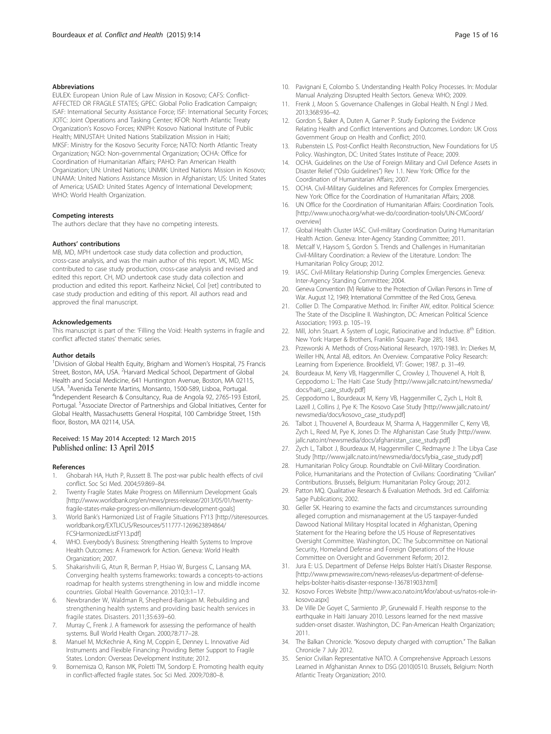#### <span id="page-14-0"></span>**Abbreviations**

EULEX: European Union Rule of Law Mission in Kosovo; CAFS: Conflict-AFFECTED OR FRAGILE STATES; GPEC: Global Polio Eradication Campaign; ISAF: International Security Assistance Force; ISF: International Security Forces; JOTC: Joint Operations and Tasking Center; KFOR: North Atlantic Treaty Organization's Kosovo Forces; KNIPH: Kosovo National Institute of Public Health; MINUSTAH: United Nations Stabilization Mission in Haiti; MKSF: Ministry for the Kosovo Security Force; NATO: North Atlantic Treaty Organization; NGO: Non-governmental Organization; OCHA: Office for Coordination of Humanitarian Affairs; PAHO: Pan American Health Organization; UN: United Nations; UNMIK: United Nations Mission in Kosovo; UNAMA: United Nations Assistance Mission in Afghanistan; US: United States of America; USAID: United States Agency of International Development; WHO: World Health Organization.

#### Competing interests

The authors declare that they have no competing interests.

#### Authors' contributions

MB, MD, MPH undertook case study data collection and production, cross-case analysis, and was the main author of this report. VK, MD, MSc contributed to case study production, cross-case analysis and revised and edited this report. CH, MD undertook case study data collection and production and edited this report. Karlheinz Nickel, Col [ret] contributed to case study production and editing of this report. All authors read and approved the final manuscript.

#### Acknowledgements

This manuscript is part of the: 'Filling the Void: Health systems in fragile and conflict affected states' thematic series.

#### Author details

<sup>1</sup> Division of Global Health Equity, Brigham and Women's Hospital, 75 Francis Street, Boston, MA, USA. <sup>2</sup>Harvard Medical School, Department of Global Health and Social Medicine, 641 Huntington Avenue, Boston, MA 02115, USA. <sup>3</sup>Avenida Tenente Martins, Monsanto, 1500-589, Lisboa, Portugal.<br><sup>4</sup>Independent Besearch & Consultancy, Rua de Angola 92, 2765-193 E 4Independent Research & Consultancy, Rua de Angola 92, 2765-193 Estoril, Portugal. <sup>5</sup>Associate Director of Partnerships and Global Initiatives, Center for Global Health, Massachusetts General Hospital, 100 Cambridge Street, 15th floor, Boston, MA 02114, USA.

#### Received: 15 May 2014 Accepted: 12 March 2015 Published online: 13 April 2015

#### References

- 1. Ghobarah HA, Huth P, Russett B. The post-war public health effects of civil conflict. Soc Sci Med. 2004;59:869–84.
- 2. Twenty Fragile States Make Progress on Millennium Development Goals [[http://www.worldbank.org/en/news/press-release/2013/05/01/twenty](http://www.worldbank.org/en/news/press-release/2013/05/01/twenty-fragile-states-make-progress-on-millennium-development-goals)[fragile-states-make-progress-on-millennium-development-goals](http://www.worldbank.org/en/news/press-release/2013/05/01/twenty-fragile-states-make-progress-on-millennium-development-goals)]
- 3. World Bank's Harmonized List of Fragile Situations FY13 [[http://siteresources.](http://siteresources.worldbank.org/EXTLICUS/Resources/511777-1269623894864/FCSHarmonizedListFY13.pdf) [worldbank.org/EXTLICUS/Resources/511777-1269623894864/](http://siteresources.worldbank.org/EXTLICUS/Resources/511777-1269623894864/FCSHarmonizedListFY13.pdf) [FCSHarmonizedListFY13.pdf\]](http://siteresources.worldbank.org/EXTLICUS/Resources/511777-1269623894864/FCSHarmonizedListFY13.pdf)
- 4. WHO. Everybody's Business: Strengthening Health Systems to Improve Health Outcomes: A Framework for Action. Geneva: World Health Organization; 2007.
- 5. Shakarishvili G, Atun R, Berman P, Hsiao W, Burgess C, Lansang MA. Converging health systems frameworks: towards a concepts-to-actions roadmap for health systems strengthening in low and middle income countries. Global Health Governance. 2010;3:1–17.
- 6. Newbrander W, Waldman R, Shepherd-Banigan M. Rebuilding and strengthening health systems and providing basic health services in fragile states. Disasters. 2011;35:639–60.
- 7. Murray C, Frenk J. A framework for assessing the performance of health systems. Bull World Health Organ. 2000;78:717–28.
- 8. Manuel M, McKechnie A, King M, Coppin E, Denney L. Innovative Aid Instruments and Flexible Financing: Providing Better Support to Fragile States. London: Overseas Development Institute; 2012.
- 9. Bornemisza O, Ranson MK, Poletti TM, Sondorp E. Promoting health equity in conflict-affected fragile states. Soc Sci Med. 2009;70:80–8.
- 10. Pavignani E, Colombo S. Understanding Health Policy Processes. In: Modular Manual Analyzing Disrupted Health Sectors. Geneva: WHO; 2009.
- 11. Frenk J, Moon S. Governance Challenges in Global Health. N Engl J Med. 2013;368:936–42.
- 12. Gordon S, Baker A, Duten A, Garner P. Study Exploring the Evidence Relating Health and Conflict Interventions and Outcomes. London: UK Cross Government Group on Health and Conflict; 2010.
- 13. Rubenstein LS. Post-Conflict Health Reconstruction, New Foundations for US Policy. Washington, DC: United States Institute of Peace; 2009.
- 14. OCHA. Guidelines on the Use of Foreign Military and Civil Defence Assets in Disaster Relief ("Oslo Guidelines") Rev 1.1. New York: Office for the Coordination of Humanitarian Affairs; 2007.
- 15. OCHA. Civil-Military Guidelines and References for Complex Emergencies. New York: Office for the Coordination of Humanitarian Affairs; 2008.
- 16. UN Office for the Coordination of Humanitarian Affairs: Coordination Tools. [[http://www.unocha.org/what-we-do/coordination-tools/UN-CMCoord/](http://www.unocha.org/what-we-do/coordination-tools/UN-CMCoord/overview) [overview](http://www.unocha.org/what-we-do/coordination-tools/UN-CMCoord/overview)]
- 17. Global Health Cluster IASC. Civil-military Coordination During Humanitarian Health Action. Geneva: Inter-Agency Standing Committee; 2011.
- 18. Metcalf V, Haysom S, Gordon S. Trends and Challenges in Humanitarian Civil-Military Coordination: a Review of the Literature. London: The Humanitarian Policy Group; 2012.
- 19. IASC. Civil-Military Relationship During Complex Emergencies. Geneva: Inter-Agency Standing Committee; 2004.
- 20. Geneva Convention (IV) Relative to the Protection of Civilian Persons in Time of War. August 12, 1949; International Committee of the Red Cross, Geneva.
- 21. Collier D. The Comparative Method. In: Finifter AW, editor. Political Science: The State of the Discipline II. Washington, DC: American Political Science Association; 1993. p. 105–19.
- 22. Mill, John Stuart. A System of Logic, Ratiocinative and Inductive. 8<sup>th</sup> Edition. New York: Harper & Brothers, Franklin Square. Page 285; 1843.
- 23. Przeworski A. Methods of Cross-National Research, 1970-1983. In: Dierkes M, Weiller HN, Antal AB, editors. An Overview. Comparative Policy Research: Learning from Experience. Brookfield, VT: Gower; 1987. p. 31–49.
- 24. Bourdeaux M, Kerry VB, Haggenmiller C, Crowley J, Thouvenel A, Holt B, Ceppodomo L: The Haiti Case Study [\[http://www.jallc.nato.int/newsmedia/](http://www.jallc.nato.int/newsmedia/docs/haiti_case_study.pdf) [docs/haiti\\_case\\_study.pdf](http://www.jallc.nato.int/newsmedia/docs/haiti_case_study.pdf)]
- 25. Ceppodomo L, Bourdeaux M, Kerry VB, Haggenmiller C, Zych L, Holt B, Lazell J, Collins J, Pye K: The Kosovo Case Study [[http://www.jallc.nato.int/](http://www.jallc.nato.int/newsmedia/docs/kosovo_case_study.pdf) [newsmedia/docs/kosovo\\_case\\_study.pdf](http://www.jallc.nato.int/newsmedia/docs/kosovo_case_study.pdf)]
- 26. Talbot J, Thouvenel A, Bourdeaux M, Sharma A, Haggenmiller C, Kerry VB, Zych L, Reed M, Pye K, Jones D: The Afghanistan Case Study [[http://www.](http://www.jallc.nato.int/newsmedia/docs/afghanistan_case_study.pdf) [jallc.nato.int/newsmedia/docs/afghanistan\\_case\\_study.pdf\]](http://www.jallc.nato.int/newsmedia/docs/afghanistan_case_study.pdf)
- 27. Zych L, Talbot J, Bourdeaux M, Haggenmiller C, Redmayne J: The Libya Case Study [[http://www.jallc.nato.int/newsmedia/docs/lybia\\_case\\_study.pdf\]](http://www.jallc.nato.int/newsmedia/docs/lybia_case_study.pdf)
- 28. Humanitarian Policy Group. Roundtable on Civil-Military Coordination. Police, Humanitarians and the Protection of Civilians: Coordinating "Civilian" Contributions. Brussels, Belgium: Humanitarian Policy Group; 2012.
- 29. Patton MQ. Qualitative Research & Evaluation Methods. 3rd ed. California: Sage Publications; 2002.
- 30. Geller SK. Hearing to examine the facts and circumstances surrounding alleged corruption and mismanagement at the US taxpayer-funded Dawood National Military Hospital located in Afghanistan, Opening Statement for the Hearing before the US House of Representatives Oversight Committee. Washington, DC: The Subcommittee on National Security, Homeland Defense and Foreign Operations of the House Committee on Oversight and Government Reform; 2012.
- 31. Jura E: U.S. Department of Defense Helps Bolster Haiti's Disaster Response. [[http://www.prnewswire.com/news-releases/us-department-of-defense](http://www.prnewswire.com/news-releases/us-department-of-defense-helps-bolster-haitis-disaster-response-136781903.html)[helps-bolster-haitis-disaster-response-136781903.html](http://www.prnewswire.com/news-releases/us-department-of-defense-helps-bolster-haitis-disaster-response-136781903.html)]
- 32. Kosovo Forces Website [[http://www.aco.nato.int/kfor/about-us/natos-role-in](http://www.aco.nato.int/kfor/about-us/natos-role-in-kosovo.aspx)[kosovo.aspx\]](http://www.aco.nato.int/kfor/about-us/natos-role-in-kosovo.aspx)
- 33. De Ville De Goyet C, Sarmiento JP, Grunewald F. Health response to the earthquake in Haiti January 2010. Lessons learned for the next massive sudden-onset disaster. Washington, DC: Pan-American Health Organization; 2011.
- 34. The Balkan Chronicle. "Kosovo deputy charged with corruption." The Balkan Chronicle 7 July 2012.
- 35. Senior Civilian Representative NATO. A Comprehensive Approach Lessons Learned in Afghanistan Annex to DSG (2010)0510. Brussels, Belgium: North Atlantic Treaty Organization; 2010.